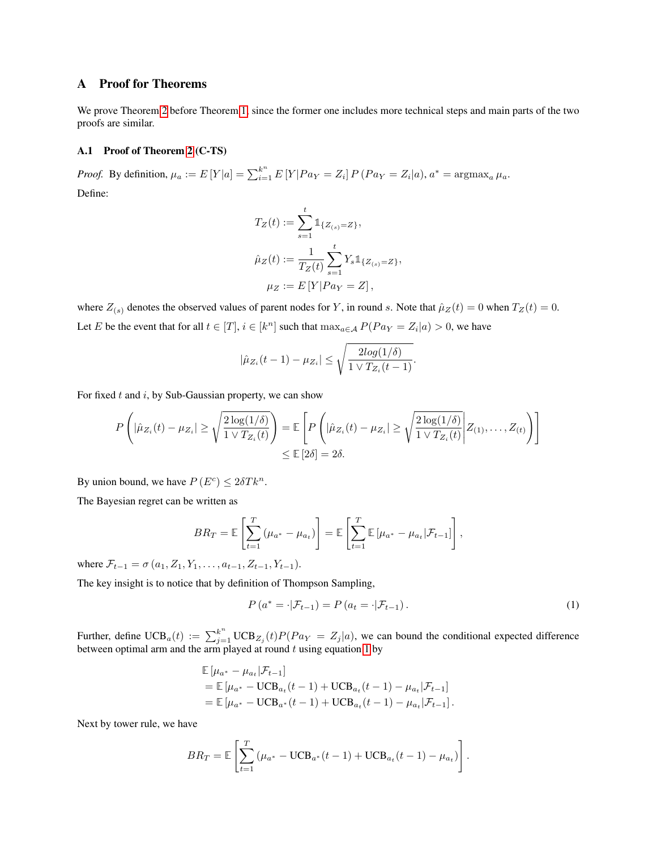## A Proof for Theorems

We prove Theorem  $\sqrt{2}$  before Theorem  $\sqrt{1}$ , since the former one includes more technical steps and main parts of the two proofs are similar.

## A.1 Proof of Theorem $2$  (C-TS)

*Proof.* By definition,  $\mu_a := E[Y|a] = \sum_{i=1}^{k^n} E[Y|Pa_Y = Z_i] P(Pa_Y = Z_i|a)$ ,  $a^* = \text{argmax}_a \mu_a$ . Define:

$$
T_Z(t) := \sum_{s=1}^t \mathbb{1}_{\{Z_{(s)} = Z\}},
$$
  
\n
$$
\hat{\mu}_Z(t) := \frac{1}{T_Z(t)} \sum_{s=1}^t Y_s \mathbb{1}_{\{Z_{(s)} = Z\}},
$$
  
\n
$$
\mu_Z := E[Y | Pay = Z],
$$

where  $Z_{(s)}$  denotes the observed values of parent nodes for *Y*, in round *s*. Note that  $\hat{\mu}_Z(t) = 0$  when  $T_Z(t) = 0$ . Let *E* be the event that for all  $t \in [T], i \in [k^n]$  such that  $\max_{a \in A} P(Pa_Y = Z_i | a) > 0$ , we have

$$
|\hat{\mu}_{Z_i}(t-1) - \mu_{Z_i}| \leq \sqrt{\frac{2log(1/\delta)}{1 \vee T_{Z_i}(t-1)}}.
$$

For fixed *t* and *i*, by Sub-Gaussian property, we can show

$$
P\left(|\hat{\mu}_{Z_i}(t) - \mu_{Z_i}| \ge \sqrt{\frac{2\log(1/\delta)}{1 \vee T_{Z_i}(t)}}\right) = \mathbb{E}\left[P\left(|\hat{\mu}_{Z_i}(t) - \mu_{Z_i}| \ge \sqrt{\frac{2\log(1/\delta)}{1 \vee T_{Z_i}(t)}}\middle| Z_{(1)}, \dots, Z_{(t)}\right)\right]
$$
  
\$\le \mathbb{E}\left[2\delta\right] = 2\delta\$.

By union bound, we have  $P(E^c) \leq 2\delta T k^n$ .

The Bayesian regret can be written as

$$
BR_T = \mathbb{E}\left[\sum_{t=1}^T (\mu_{a^*} - \mu_{a_t})\right] = \mathbb{E}\left[\sum_{t=1}^T \mathbb{E}[\mu_{a^*} - \mu_{a_t}|\mathcal{F}_{t-1}]\right],
$$

where  $\mathcal{F}_{t-1} = \sigma(a_1, Z_1, Y_1, \ldots, a_{t-1}, Z_{t-1}, Y_{t-1}).$ 

The key insight is to notice that by definition of Thompson Sampling,

$$
P\left(a^* = \cdot | \mathcal{F}_{t-1}\right) = P\left(a_t = \cdot | \mathcal{F}_{t-1}\right). \tag{1}
$$

Further, define  $\text{UCB}_a(t) := \sum_{j=1}^{k^n} \text{UCB}_{Z_j}(t) P(Pa_Y = Z_j | a)$ , we can bound the conditional expected difference between optimal arm and the arm played at round  $t$  using equation  $\boxed{1}$  by

$$
\mathbb{E}[\mu_{a^*} - \mu_{a_t} | \mathcal{F}_{t-1}]
$$
  
=  $\mathbb{E}[\mu_{a^*} - \text{UCB}_{a_t}(t-1) + \text{UCB}_{a_t}(t-1) - \mu_{a_t} | \mathcal{F}_{t-1}]$   
=  $\mathbb{E}[\mu_{a^*} - \text{UCB}_{a^*}(t-1) + \text{UCB}_{a_t}(t-1) - \mu_{a_t} | \mathcal{F}_{t-1}].$ 

Next by tower rule, we have

$$
BR_T = \mathbb{E}\left[\sum_{t=1}^T (\mu_{a^*} - \text{UCB}_{a^*}(t-1) + \text{UCB}_{a_t}(t-1) - \mu_{a_t})\right].
$$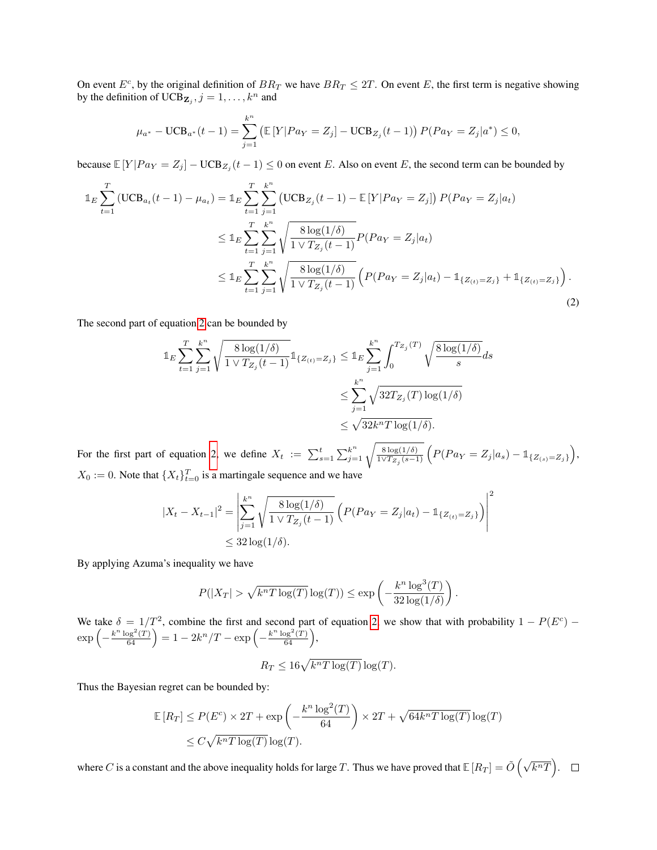On event  $E^c$ , by the original definition of  $BR_T$  we have  $BR_T \leq 2T$ . On event *E*, the first term is negative showing by the definition of  $UCB_{\mathbf{Z}_j}$ ,  $j = 1, \ldots, k^n$  and

$$
\mu_{a^*} - \text{UCB}_{a^*}(t-1) = \sum_{j=1}^{k^n} \left( \mathbb{E}\left[Y|Pa_Y = Z_j\right] - \text{UCB}_{Z_j}(t-1) \right) P(Pa_Y = Z_j|a^*) \le 0,
$$

because  $\mathbb{E}[Y|Pa_Y = Z_j] - \text{UCB}_{Z_j}(t-1) \leq 0$  on event *E*. Also on event *E*, the second term can be bounded by

$$
\mathbb{1}_{E} \sum_{t=1}^{T} (\text{UCB}_{a_{t}}(t-1) - \mu_{a_{t}}) = \mathbb{1}_{E} \sum_{t=1}^{T} \sum_{j=1}^{k^{n}} (\text{UCB}_{Z_{j}}(t-1) - \mathbb{E}[Y|Pa_{Y} = Z_{j}]) P(Pa_{Y} = Z_{j}|a_{t})
$$
\n
$$
\leq \mathbb{1}_{E} \sum_{t=1}^{T} \sum_{j=1}^{k^{n}} \sqrt{\frac{8 \log(1/\delta)}{1 \vee T_{Z_{j}}(t-1)}} P(Pa_{Y} = Z_{j}|a_{t})
$$
\n
$$
\leq \mathbb{1}_{E} \sum_{t=1}^{T} \sum_{j=1}^{k^{n}} \sqrt{\frac{8 \log(1/\delta)}{1 \vee T_{Z_{j}}(t-1)}} \left( P(Pa_{Y} = Z_{j}|a_{t}) - \mathbb{1}_{\{Z_{(t)} = Z_{j}\}} + \mathbb{1}_{\{Z_{(t)} = Z_{j}\}} \right).
$$
\n(2)

The second part of equation  $2$  can be bounded by

$$
\mathbb{1}_E \sum_{t=1}^T \sum_{j=1}^{k^n} \sqrt{\frac{8 \log(1/\delta)}{1 \vee T_{Z_j}(t-1)}} \mathbb{1}_{\{Z_{(t)}=Z_j\}} \leq \mathbb{1}_E \sum_{j=1}^{k^n} \int_0^{T_{Z_j}(T)} \sqrt{\frac{8 \log(1/\delta)}{s}} ds
$$
  

$$
\leq \sum_{j=1}^{k^n} \sqrt{32T_{Z_j}(T) \log(1/\delta)}
$$
  

$$
\leq \sqrt{32k^n T \log(1/\delta)}.
$$

For the first part of equation  $2$  we define  $X_t := \sum_{s=1}^t \sum_{j=1}^{k^n} \sqrt{\frac{8 \log(1/\delta)}{1 \sqrt{T_{Z_j}(s-1)}}} \left( P(Pa_Y = Z_j|a_s) - \mathbb{1}_{\{Z_{(s)} = Z_j\}} \right)$ ,  $X_0 := 0$ . Note that  $\{X_t\}_{t=0}^T$  is a martingale sequence and we have

$$
|X_t - X_{t-1}|^2 = \left| \sum_{j=1}^{k^n} \sqrt{\frac{8 \log(1/\delta)}{1 \vee T_{Z_j}(t-1)}} \left( P(Pa_Y = Z_j | a_t) - \mathbb{1}_{\{Z_{(t)} = Z_j\}} \right) \right|^2
$$
  
\$\leq 32 \log(1/\delta).

By applying Azuma's inequality we have

$$
P(|X_T| > \sqrt{k^n T \log(T)} \log(T)) \le \exp\left(-\frac{k^n \log^3(T)}{32 \log(1/\delta)}\right).
$$

We take  $\delta = 1/T^2$ , combine the first and second part of equation 2, we show that with probability  $1 - P(E^c)$  –  $\exp\left(-\frac{k^n \log^2(T)}{64}\right) = 1 - 2k^n/T - \exp\left(-\frac{k^n \log^2(T)}{64}\right),$ 

$$
R_T \le 16\sqrt{k^n T \log(T)} \log(T).
$$

Thus the Bayesian regret can be bounded by:

$$
\mathbb{E}[R_T] \le P(E^c) \times 2T + \exp\left(-\frac{k^n \log^2(T)}{64}\right) \times 2T + \sqrt{64k^n T \log(T)} \log(T)
$$
  

$$
\le C\sqrt{k^n T \log(T)} \log(T).
$$

where  $C$  is a constant and the above inequality holds for large  $T$ . Thus we have proved that  $\mathbb{E}\left[R_{T}\right]=\tilde{O}\left(\sqrt{k^{n}T}\right)$ .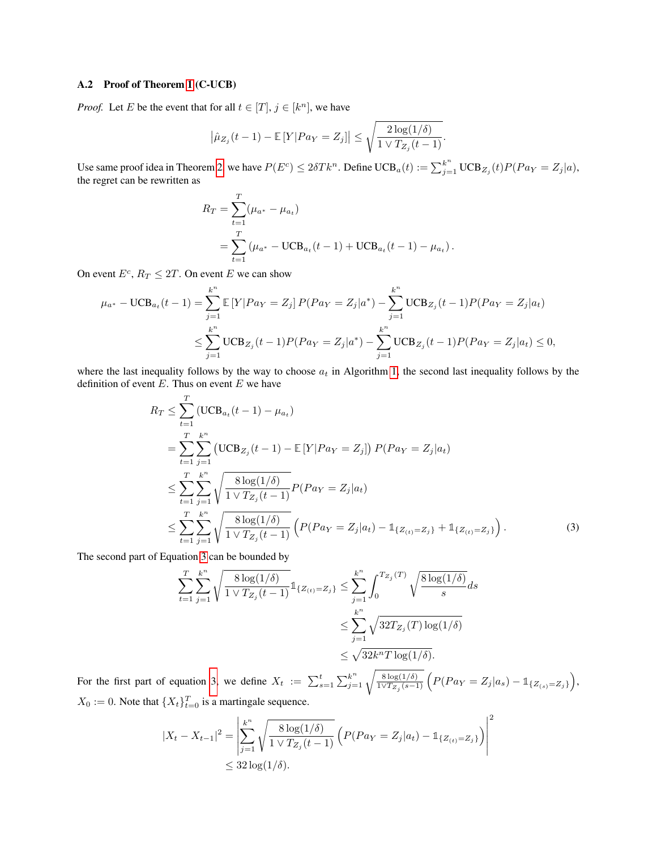### A.2 Proof of Theorem  $\boxed{1}$  (C-UCB)

*Proof.* Let *E* be the event that for all  $t \in [T], j \in [k^n]$ , we have

$$
\left|\hat{\mu}_{Z_j}(t-1) - \mathbb{E}\left[Y\middle| Pa_Y = Z_j\right]\right| \leq \sqrt{\frac{2\log(1/\delta)}{1\vee T_{Z_j}(t-1)}}.
$$

Use same proof idea in Theorem  $2$  we have  $P(E^c) \le 2\delta T k^n$ . Define  $UCB_a(t) := \sum_{j=1}^{k^n} UCB_{Z_j}(t)P(Pa_Y = Z_j|a)$ , the regret can be rewritten as

$$
R_T = \sum_{t=1}^T (\mu_{a^*} - \mu_{a_t})
$$
  
= 
$$
\sum_{t=1}^T (\mu_{a^*} - \text{UCB}_{a_t}(t-1) + \text{UCB}_{a_t}(t-1) - \mu_{a_t}).
$$

On event  $E^c$ ,  $R_T \leq 2T$ . On event *E* we can show

$$
\mu_{a^*} - \text{UCB}_{a_t}(t-1) = \sum_{j=1}^{k^n} \mathbb{E}\left[Y|Pa_Y = Z_j\right]P(Pa_Y = Z_j|a^*) - \sum_{j=1}^{k^n} \text{UCB}_{Z_j}(t-1)P(Pa_Y = Z_j|a_t)
$$
  

$$
\leq \sum_{j=1}^{k^n} \text{UCB}_{Z_j}(t-1)P(Pa_Y = Z_j|a^*) - \sum_{j=1}^{k^n} \text{UCB}_{Z_j}(t-1)P(Pa_Y = Z_j|a_t) \leq 0,
$$

where the last inequality follows by the way to choose  $a_t$  in Algorithm  $\vert \bar{\mathbf{l}} \vert$ , the second last inequality follows by the definition of event *E*. Thus on event *E* we have

$$
R_T \leq \sum_{t=1}^T (\text{UCB}_{a_t}(t-1) - \mu_{a_t})
$$
  
= 
$$
\sum_{t=1}^T \sum_{j=1}^{k^n} (\text{UCB}_{Z_j}(t-1) - \mathbb{E}[Y | P a_Y = Z_j]) P(P a_Y = Z_j | a_t)
$$
  

$$
\leq \sum_{t=1}^T \sum_{j=1}^{k^n} \sqrt{\frac{8 \log(1/\delta)}{1 \vee T_{Z_j}(t-1)}} P(P a_Y = Z_j | a_t)
$$
  

$$
\leq \sum_{t=1}^T \sum_{j=1}^{k^n} \sqrt{\frac{8 \log(1/\delta)}{1 \vee T_{Z_j}(t-1)}} \left( P(P a_Y = Z_j | a_t) - \mathbb{1}_{\{Z_{(t)} = Z_j\}} + \mathbb{1}_{\{Z_{(t)} = Z_j\}} \right).
$$
 (3)

The second part of Equation  $\sqrt{3}$  can be bounded by

$$
\sum_{t=1}^{T} \sum_{j=1}^{k^{n}} \sqrt{\frac{8 \log(1/\delta)}{1 \vee T_{Z_{j}}(t-1)}} 1_{\{Z_{(t)}=Z_{j}\}} \leq \sum_{j=1}^{k^{n}} \int_{0}^{T_{Z_{j}}(T)} \sqrt{\frac{8 \log(1/\delta)}{s}} ds
$$
  

$$
\leq \sum_{j=1}^{k^{n}} \sqrt{32T_{Z_{j}}(T) \log(1/\delta)}
$$
  

$$
\leq \sqrt{32k^{n}T \log(1/\delta)}.
$$

For the first part of equation  $3$  we define  $X_t := \sum_{s=1}^t \sum_{j=1}^{k^n} \sqrt{\frac{8 \log(1/\delta)}{1 \vee T_{Z_j}(s-1)}} \left( P(Pa_Y = Z_j|a_s) - \mathbb{1}_{\{Z_{(s)} = Z_j\}} \right)$ ,  $X_0 := 0$ . Note that  $\{X_t\}_{t=0}^T$  is a martingale sequence.

$$
|X_t - X_{t-1}|^2 = \left| \sum_{j=1}^{k^n} \sqrt{\frac{8 \log(1/\delta)}{1 \vee T_{Z_j}(t-1)}} \left( P(Pa_Y = Z_j | a_t) - \mathbb{1}_{\{Z_{(t)} = Z_j\}} \right) \right|^2
$$
  
\$\leq 32 \log(1/\delta).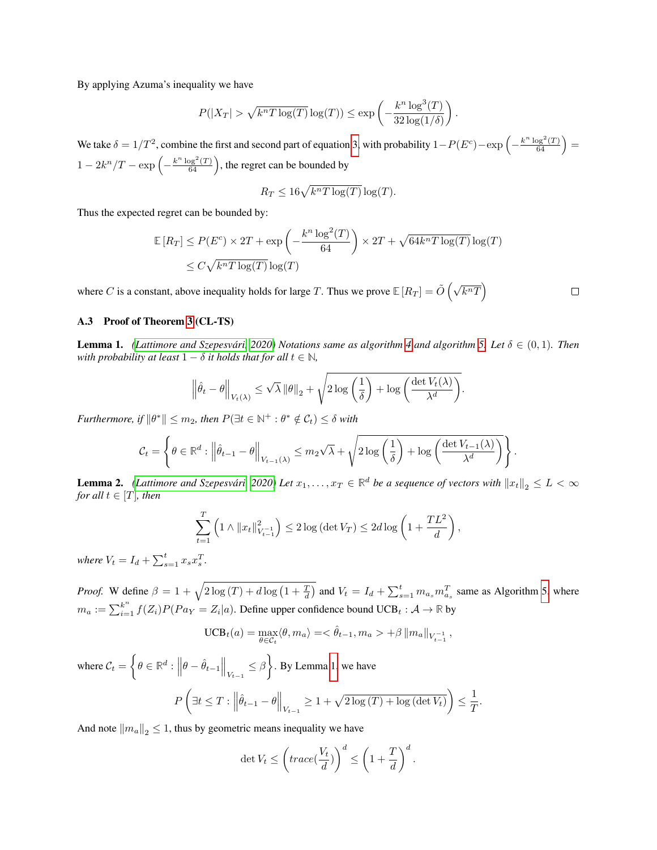By applying Azuma's inequality we have

$$
P(|X_T| > \sqrt{k^n T \log(T)} \log(T)) \le \exp\left(-\frac{k^n \log^3(T)}{32 \log(1/\delta)}\right)
$$

*.*

*.*

We take  $\delta = 1/T^2$ , combine the first and second part of equation  $3$  with probability  $1 - P(E^c) - \exp\left(-\frac{k^n \log^2(T)}{64}\right) =$  $1 - 2k^n/T - \exp\left(-\frac{k^n \log^2(T)}{64}\right)$ , the regret can be bounded by

$$
R_T \le 16\sqrt{k^n T \log(T)} \log(T).
$$

Thus the expected regret can be bounded by:

$$
\mathbb{E}[R_T] \le P(E^c) \times 2T + \exp\left(-\frac{k^n \log^2(T)}{64}\right) \times 2T + \sqrt{64k^n T \log(T)} \log(T)
$$
  

$$
\le C\sqrt{k^n T \log(T)} \log(T)
$$

where *C* is a constant, above inequality holds for large *T*. Thus we prove  $\mathbb{E}[R_T] = \tilde{O}\left(\sqrt{k^nT}\right)$ 

 $\Box$ 

## A.3 Proof of Theorem<sup>3</sup> (CL-TS)

**Lemma 1.** *(Lattimore and Szepesvári)*  $\boxed{2020}$  Notations same as algorithm  $\boxed{4}$  and algorithm  $\boxed{5}$  Let  $\delta \in (0,1)$ . Then *with probability at least*  $1 - \delta$  *it holds that for all*  $t \in \mathbb{N}$ *,* 

$$
\left\|\hat{\theta}_{t} - \theta\right\|_{V_{t}(\lambda)} \leq \sqrt{\lambda} \left\|\theta\right\|_{2} + \sqrt{2 \log\left(\frac{1}{\delta}\right) + \log\left(\frac{\det V_{t}(\lambda)}{\lambda^{d}}\right)}
$$

*Furthermore, if*  $\|\theta^*\| \leq m_2$ *, then*  $P(\exists t \in \mathbb{N}^+ : \theta^* \notin C_t) \leq \delta$  with

$$
\mathcal{C}_t = \left\{\theta \in \mathbb{R}^d : \left\|\hat{\theta}_{t-1} - \theta\right\|_{V_{t-1}(\lambda)} \leq m_2\sqrt{\lambda} + \sqrt{2\log\left(\frac{1}{\delta}\right) + \log\left(\frac{\det V_{t-1}(\lambda)}{\lambda^d}\right)}\right\}.
$$

**Lemma 2.** *(Lattimore and Szepesvári*) 2020) Let  $x_1, \ldots, x_T \in \mathbb{R}^d$  be a sequence of vectors with  $||x_t||_2 \leq L < \infty$ *for all*  $t \in [T]$ *, then* 

$$
\sum_{t=1}^{T} \left( 1 \wedge ||x_t||_{V_{t-1}^{-1}}^2 \right) \le 2 \log \left( \det V_T \right) \le 2d \log \left( 1 + \frac{TL^2}{d} \right),
$$

*where*  $V_t = I_d + \sum_{s=1}^t x_s x_s^T$ .

*Proof.* W define  $\beta = 1 + \sqrt{2 \log(T) + d \log(1 + \frac{T}{d})}$  and  $V_t = I_d + \sum_{s=1}^t m_{a_s} m_{a_s}^T$  same as Algorithm  $\left| \frac{s}{s} \right|$  where  $m_a := \sum_{i=1}^{k^n} f(Z_i) P(Pa_Y = Z_i | a)$ . Define upper confidence bound UCB<sub>t</sub> :  $A \to \mathbb{R}$  by

$$
\text{UCB}_{t}(a) = \max_{\theta \in \mathcal{C}_{t}} \langle \theta, m_{a} \rangle = \langle \hat{\theta}_{t-1}, m_{a} \rangle + \beta ||m_{a}||_{V_{t-1}^{-1}},
$$

where  $C_t =$  $\left\{ \theta \in \mathbb{R}^d: \left\Vert \theta - \hat{\theta}_{t-1} \right\Vert_{V_{t-1}} \leq \beta \right.$  $\mathcal{L}$ . By Lemma<sup>[1]</sup> we have *P*  $\sqrt{2}$  $\exists t \leq T : \left\| \hat{\theta}_{t-1} - \theta \right\|_{V_{t-1}} \geq 1 + \sqrt{2 \log(T) + \log \left( \det V_t \right)}$  $\leq$  $\frac{1}{T}$ .

And note  $\|m_a\|_2 \leq 1$ , thus by geometric means inequality we have

$$
\det V_t \le \left( \operatorname{trace}(\frac{V_t}{d}) \right)^d \le \left( 1 + \frac{T}{d} \right)^d.
$$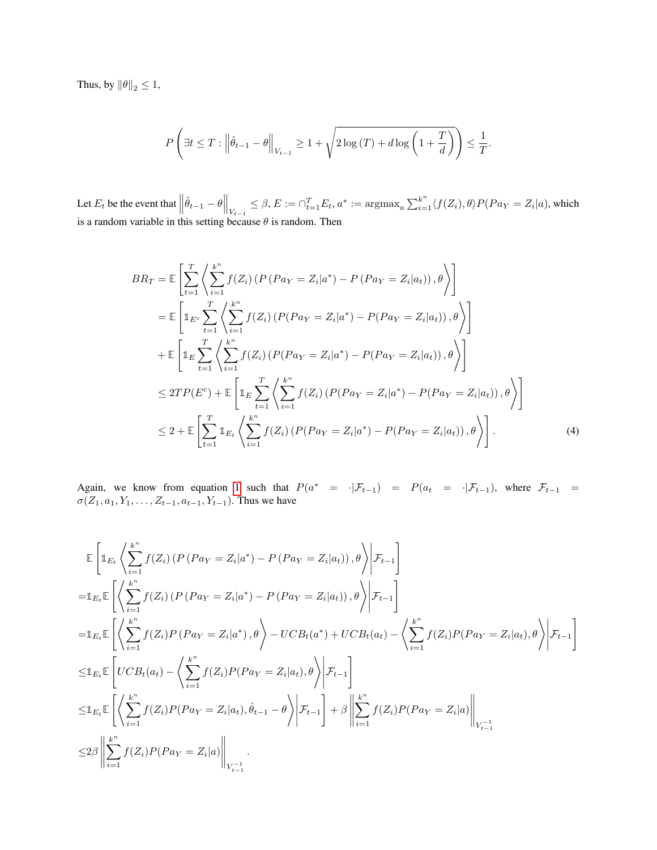Thus, by  $\|\theta\|_2 \leq 1$ ,

$$
P\left(\exists t \leq T : \left\|\hat{\theta}_{t-1} - \theta\right\|_{V_{t-1}} \geq 1 + \sqrt{2\log(T) + d\log\left(1 + \frac{T}{d}\right)}\right) \leq \frac{1}{T}.
$$

Let  $E_t$  be the event that  $\left\|\hat{\theta}_{t-1} - \theta\right\|_{V_{t-1}} \leq \beta$ ,  $E := \bigcap_{t=1}^T E_t$ ,  $a^* := \operatorname{argmax}_a \sum_{i=1}^{k^n} \langle f(Z_i), \theta \rangle P(Pa_Y = Z_i | a)$ , which is a random variable in this setting because  $\theta$  is random. Then

$$
BR_T = \mathbb{E}\left[\sum_{t=1}^T \left\langle \sum_{i=1}^{k^n} f(Z_i) \left( P\left(Pa_Y = Z_i|a^*\right) - P\left(Pa_Y = Z_i|a_t\right) \right), \theta \right\rangle\right]
$$
  
\n
$$
= \mathbb{E}\left[\mathbb{1}_{E^c} \sum_{t=1}^T \left\langle \sum_{i=1}^{k^n} f(Z_i) \left( P\left(Pa_Y = Z_i|a^*\right) - P\left(Pa_Y = Z_i|a_t\right) \right), \theta \right\rangle\right]
$$
  
\n
$$
+ \mathbb{E}\left[\mathbb{1}_E \sum_{t=1}^T \left\langle \sum_{i=1}^{k^n} f(Z_i) \left( P\left(Pa_Y = Z_i|a^*\right) - P\left(Pa_Y = Z_i|a_t\right) \right), \theta \right\rangle\right]
$$
  
\n
$$
\leq 2TP(E^c) + \mathbb{E}\left[\mathbb{1}_E \sum_{t=1}^T \left\langle \sum_{i=1}^{k^n} f(Z_i) \left( P\left(Pa_Y = Z_i|a^*\right) - P\left(Pa_Y = Z_i|a_t\right) \right), \theta \right\rangle\right]
$$
  
\n
$$
\leq 2 + \mathbb{E}\left[\sum_{t=1}^T \mathbb{1}_{E_t} \left\langle \sum_{i=1}^{k^n} f(Z_i) \left( P\left(Pa_Y = Z_i|a^*\right) - P\left(Pa_Y = Z_i|a_t\right) \right), \theta \right\rangle\right].
$$
  
\n(4)

Again, we know from equation 1 such that  $P(a^* = \cdot | \mathcal{F}_{t-1}) = P(a_t = \cdot | \mathcal{F}_{t-1})$ , where  $\mathcal{F}_{t-1} =$  $\sigma(Z_1, a_1, Y_1, \ldots, Z_{t-1}, a_{t-1}, Y_{t-1})$ . Thus we have

$$
\mathbb{E}\left[\mathbb{1}_{E_{t}}\left\langle \sum_{i=1}^{k^{n}}f(Z_{i})\left(P\left(Pa_{Y}=Z_{i}|a^{*}\right)-P\left(Pa_{Y}=Z_{i}|a_{t}\right)\right),\theta\right\rangle\Bigg|\mathcal{F}_{t-1}\right]
$$
\n
$$
=\mathbb{1}_{E_{t}}\mathbb{E}\left[\left\langle \sum_{i=1}^{k^{n}}f(Z_{i})\left(P\left(Pa_{Y}=Z_{i}|a^{*}\right)-P\left(Pa_{Y}=Z_{i}|a_{t}\right)\right),\theta\right\rangle\Bigg|\mathcal{F}_{t-1}\right]
$$
\n
$$
=\mathbb{1}_{E_{t}}\mathbb{E}\left[\left\langle \sum_{i=1}^{k^{n}}f(Z_{i})P\left(Pa_{Y}=Z_{i}|a^{*}\right),\theta\right\rangle-UCB_{t}(a^{*})+UCB_{t}(a_{t})-\left\langle \sum_{i=1}^{k^{n}}f(Z_{i})P\left(Pa_{Y}=Z_{i}|a_{t}\right),\theta\right\rangle\Bigg|\mathcal{F}_{t-1}\right]
$$
\n
$$
\leq\mathbb{1}_{E_{t}}\mathbb{E}\left[UCB_{t}(a_{t})-\left\langle \sum_{i=1}^{k^{n}}f(Z_{i})P\left(Pa_{Y}=Z_{i}|a_{t}\right),\theta\right\rangle\Bigg|\mathcal{F}_{t-1}\right]
$$
\n
$$
\leq\mathbb{1}_{E_{t}}\mathbb{E}\left[\left\langle \sum_{i=1}^{k^{n}}f(Z_{i})P\left(Pa_{Y}=Z_{i}|a_{t}\right),\hat{\theta}_{t-1}-\theta\right\rangle\Bigg|\mathcal{F}_{t-1}\right]+\beta\left\|\sum_{i=1}^{k^{n}}f(Z_{i})P\left(Pa_{Y}=Z_{i}|a\right)\right\|_{V_{t-1}^{-1}}
$$
\n
$$
\leq2\beta\left\|\sum_{i=1}^{k^{n}}f(Z_{i})P\left(Pa_{Y}=Z_{i}|a\right)\right\|_{V_{t-1}^{-1}}.
$$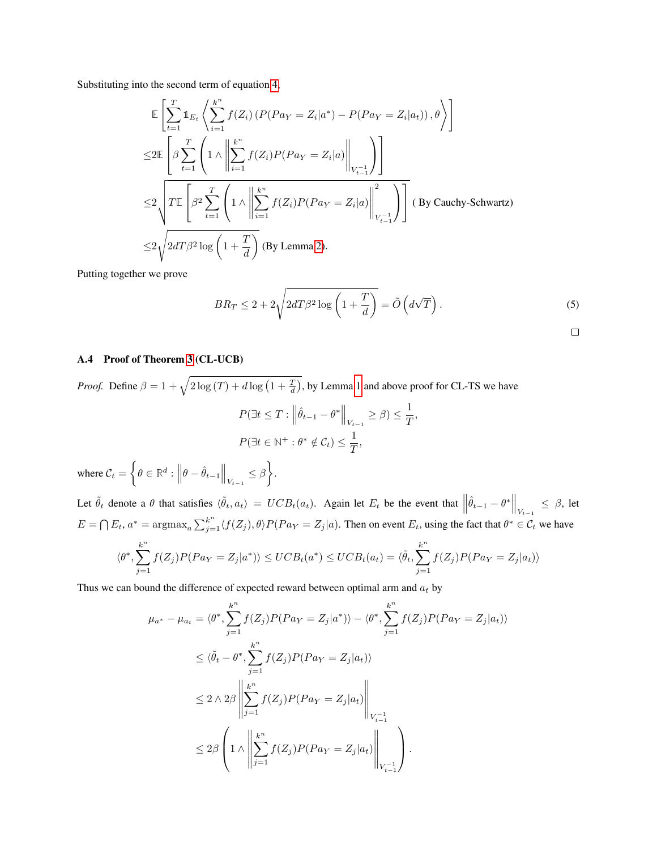Substituting into the second term of equation  $\frac{4}{9}$ 

$$
\mathbb{E}\left[\sum_{t=1}^{T} \mathbb{1}_{E_{t}}\left\langle \sum_{i=1}^{k^{n}} f(Z_{i})\left(P(Pa_{Y}=Z_{i}|a^{*})-P(Pa_{Y}=Z_{i}|a_{t})\right),\theta\right\rangle\right]
$$
\n
$$
\leq 2\mathbb{E}\left[\beta \sum_{t=1}^{T} \left(1 \wedge \left\|\sum_{i=1}^{k^{n}} f(Z_{i})P(Pa_{Y}=Z_{i}|a)\right\|_{V_{t-1}^{-1}}\right)\right]
$$
\n
$$
\leq 2\sqrt{TE\left[\beta^{2} \sum_{t=1}^{T} \left(1 \wedge \left\|\sum_{i=1}^{k^{n}} f(Z_{i})P(Pa_{Y}=Z_{i}|a)\right\|_{V_{t-1}^{-1}}^{2}\right)\right]} \quad \text{(By Cauchy-Schwarz)}
$$
\n
$$
\leq 2\sqrt{2dT\beta^{2}\log\left(1+\frac{T}{d}\right)} \quad \text{(By Lemma 2)}.
$$

Putting together we prove

$$
BR_T \le 2 + 2\sqrt{2dT\beta^2 \log\left(1 + \frac{T}{d}\right)} = \tilde{O}\left(d\sqrt{T}\right). \tag{5}
$$

A.4 Proof of Theorem 3 (CL-UCB)

*Proof.* Define  $\beta = 1 + \sqrt{2 \log(T) + d \log\left(1 + \frac{T}{d}\right)}$ , by Lemma 1 and above proof for CL-TS we have  $P(\exists t \le T : ||\hat{\theta}_{t-1} - \theta^*||_{V_{t-1}} \ge \beta) \le \frac{1}{T},$  $P(\exists t \in \mathbb{N}^+ : \theta^* \notin \mathcal{C}_t) \leq \frac{1}{T},$ 

where  $C_t =$  $\left\{ \theta \in \mathbb{R}^d: \left\Vert \theta - \hat{\theta}_{t-1} \right\Vert_{V_{t-1}} \leq \beta \right.$  $\mathcal{L}$ .

Let  $\tilde{\theta}_t$  denote a  $\theta$  that satisfies  $\langle \tilde{\theta}_t, a_t \rangle = UCB_t(a_t)$ . Again let  $E_t$  be the event that  $\left\| \hat{\theta}_{t-1} - \theta^* \right\|_{V_{t-1}} \leq \beta$ , let  $E = \bigcap E_t$ ,  $a^* = \text{argmax}_a \sum_{j=1}^{k^n} \langle f(Z_j), \theta \rangle P(Pa_Y = Z_j | a)$ . Then on event  $E_t$ , using the fact that  $\theta^* \in C_t$  we have *k* X*n k* X*n*

$$
\langle \theta^*, \sum_{j=1}^{\infty} f(Z_j) P(Pa_Y = Z_j | a^*) \rangle \le UCB_t(a^*) \le UCB_t(a_t) = \langle \tilde{\theta}_t, \sum_{j=1}^{\infty} f(Z_j) P(Pa_Y = Z_j | a_t) \rangle
$$

Thus we can bound the difference of expected reward between optimal arm and *a<sup>t</sup>* by

$$
\mu_{a^*} - \mu_{a_t} = \langle \theta^*, \sum_{j=1}^{k^n} f(Z_j) P(Pa_Y = Z_j | a^*) \rangle - \langle \theta^*, \sum_{j=1}^{k^n} f(Z_j) P(Pa_Y = Z_j | a_t) \rangle
$$
  
\n
$$
\leq \langle \tilde{\theta}_t - \theta^*, \sum_{j=1}^{k^n} f(Z_j) P(Pa_Y = Z_j | a_t) \rangle
$$
  
\n
$$
\leq 2 \wedge 2\beta \left\| \sum_{j=1}^{k^n} f(Z_j) P(Pa_Y = Z_j | a_t) \right\|_{V_{t-1}^{-1}}
$$
  
\n
$$
\leq 2\beta \left( 1 \wedge \left\| \sum_{j=1}^{k^n} f(Z_j) P(Pa_Y = Z_j | a_t) \right\|_{V_{t-1}^{-1}} \right).
$$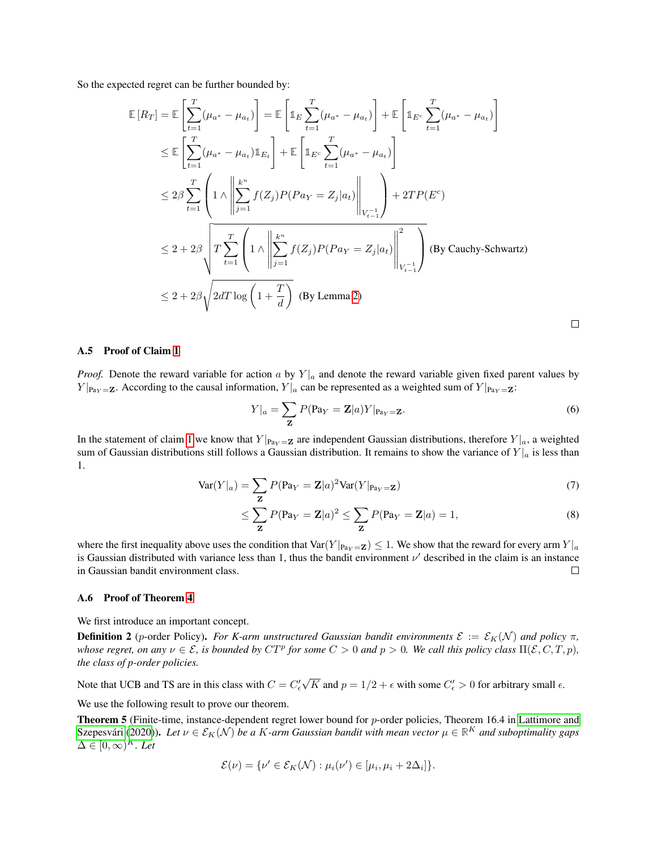So the expected regret can be further bounded by:

$$
\mathbb{E}\left[R_{T}\right] = \mathbb{E}\left[\sum_{t=1}^{T}(\mu_{a^{*}} - \mu_{a_{t}})\right] = \mathbb{E}\left[\mathbb{1}_{E}\sum_{t=1}^{T}(\mu_{a^{*}} - \mu_{a_{t}})\right] + \mathbb{E}\left[\mathbb{1}_{E^{c}}\sum_{t=1}^{T}(\mu_{a^{*}} - \mu_{a_{t}})\right]
$$
\n
$$
\leq \mathbb{E}\left[\sum_{t=1}^{T}(\mu_{a^{*}} - \mu_{a_{t}})\mathbb{1}_{E_{t}}\right] + \mathbb{E}\left[\mathbb{1}_{E^{c}}\sum_{t=1}^{T}(\mu_{a^{*}} - \mu_{a_{t}})\right]
$$
\n
$$
\leq 2\beta \sum_{t=1}^{T}\left(1 \wedge \left\|\sum_{j=1}^{k^{n}}f(Z_{j})P(P_{a_{Y}} = Z_{j}|a_{t})\right\|_{V_{t-1}^{-1}}\right) + 2TP(E^{c})
$$
\n
$$
\leq 2 + 2\beta \sqrt{T \sum_{t=1}^{T}\left(1 \wedge \left\|\sum_{j=1}^{k^{n}}f(Z_{j})P(P_{a_{Y}} = Z_{j}|a_{t})\right\|_{V_{t-1}^{-1}}^{2}\right)} \text{ (By Cauchy-Schwartz)}
$$
\n
$$
\leq 2 + 2\beta \sqrt{2dT \log\left(1 + \frac{T}{d}\right)} \text{ (By Lemma2)}
$$

#### A.5 Proof of Claim 1

*Proof.* Denote the reward variable for action *a* by  $Y|_a$  and denote the reward variable given fixed parent values by *Y*  $|P_{a_Y} = \mathbf{Z}$ . According to the causal information, *Y*  $|a|$  can be represented as a weighted sum of *Y*  $|P_{a_Y} = \mathbf{Z}$ :

$$
Y|_a = \sum_{\mathbf{Z}} P(\mathbf{Pa}_Y = \mathbf{Z}|a) Y|_{\mathbf{Pa}_Y = \mathbf{Z}}.
$$
\n
$$
(6)
$$

 $\Box$ 

In the statement of claim  $\frac{1}{\sqrt{2}}$  we know that  $Y|_{\text{Pa}_Y = \mathbf{Z}}$  are independent Gaussian distributions, therefore  $Y|_a$ , a weighted sum of Gaussian distributions still follows a Gaussian distribution. It remains to show the variance of  $Y|_a$  is less than 1.

$$
\text{Var}(Y|_a) = \sum_{\mathbf{Z}} P(\mathbf{P}a_Y = \mathbf{Z}|a)^2 \text{Var}(Y|_{\mathbf{P}a_Y = \mathbf{Z}})
$$
(7)

$$
\leq \sum_{\mathbf{Z}} P(\mathbf{Pa}_Y = \mathbf{Z}|a)^2 \leq \sum_{\mathbf{Z}} P(\mathbf{Pa}_Y = \mathbf{Z}|a) = 1,\tag{8}
$$

where the first inequality above uses the condition that  $Var(Y|_{\text{Pa}_Y = \mathbb{Z}}) \leq 1$ . We show that the reward for every arm  $Y|_a$ is Gaussian distributed with variance less than 1, thus the bandit environment  $\nu'$  described in the claim is an instance in Gaussian bandit environment class.  $\Box$ 

#### A.6 Proof of Theorem 4

We first introduce an important concept.

**Definition 2** (*p*-order Policy). For K-arm unstructured Gaussian bandit environments  $\mathcal{E} := \mathcal{E}_K(\mathcal{N})$  and policy  $\pi$ , *whose regret, on any*  $\nu \in \mathcal{E}$ *, is bounded by*  $CT^p$  *for some*  $C > 0$  *and*  $p > 0$ *. We call this policy class*  $\Pi(\mathcal{E}, C, T, p)$ *, the class of p-order policies.*

Note that UCB and TS are in this class with  $C = C_{\epsilon}' \sqrt{K}$  and  $p = 1/2 + \epsilon$  with some  $C_{\epsilon}' > 0$  for arbitrary small  $\epsilon$ .

We use the following result to prove our theorem.

Theorem 5 (Finite-time, instance-dependent regret lower bound for *p*-order policies, Theorem 16.4 in Lattimore and  $\overline{\text{Szepesvári}}$  (2020)). Let  $\nu \in \mathcal{E}_K(\mathcal{N})$  be a K-arm Gaussian bandit with mean vector  $\mu \in \mathbb{R}^K$  and suboptimality gaps  $\Delta \in [0,\infty)^k$ . Let

$$
\mathcal{E}(\nu) = \{\nu' \in \mathcal{E}_K(\mathcal{N}) : \mu_i(\nu') \in [\mu_i, \mu_i + 2\Delta_i] \}.
$$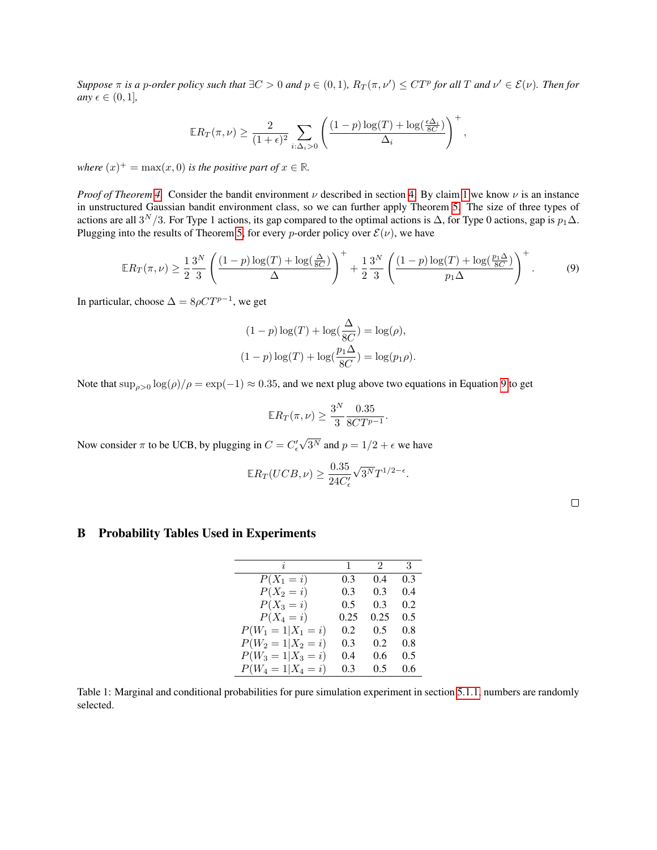Suppose  $\pi$  is a p-order policy such that  $\exists C>0$  and  $p\in(0,1)$ ,  $R_T(\pi,\nu')\leq CT^p$  for all T and  $\nu'\in\mathcal{E}(\nu)$ . Then for  $any \in \in (0, 1]$ ,

$$
\mathbb{E}R_T(\pi,\nu) \ge \frac{2}{(1+\epsilon)^2} \sum_{i:\Delta_i>0} \left(\frac{(1-p)\log(T) + \log(\frac{\epsilon\Delta_i}{8C})}{\Delta_i}\right)^+,
$$

*where*  $(x)^+$  = max $(x, 0)$  *is the positive part of*  $x \in \mathbb{R}$ *.* 

*Proof of Theorem*  $\sqrt{4}$  Consider the bandit environment  $\nu$  described in section  $\sqrt{4}$  By claim  $\sqrt{1}$  we know  $\nu$  is an instance in unstructured Gaussian bandit environment class, so we can further apply Theorem  $\overline{5}$ . The size of three types of actions are all  $3^N/3$ . For Type 1 actions, its gap compared to the optimal actions is  $\Delta$ , for Type 0 actions, gap is  $p_1\Delta$ . Plugging into the results of Theorem  $\overline{5}$  for every *p*-order policy over  $\mathcal{E}(\nu)$ , we have

$$
\mathbb{E}R_T(\pi,\nu) \ge \frac{1}{2}\frac{3^N}{3}\left(\frac{(1-p)\log(T)+\log(\frac{\Delta}{8C})}{\Delta}\right)^+ + \frac{1}{2}\frac{3^N}{3}\left(\frac{(1-p)\log(T)+\log(\frac{p_1\Delta}{8C})}{p_1\Delta}\right)^+.
$$
(9)

In particular, choose  $\Delta = 8\rho C T^{p-1}$ , we get

$$
(1-p)\log(T) + \log(\frac{\Delta}{8C}) = \log(\rho),
$$
  

$$
(1-p)\log(T) + \log(\frac{p_1\Delta}{8C}) = \log(p_1\rho).
$$

Note that  $\sup_{\rho>0} \log(\rho)/\rho = \exp(-1) \approx 0.35$ , and we next plug above two equations in Equation  $\sqrt{9}$  to get

$$
\mathbb{E}R_T(\pi,\nu) \ge \frac{3^N}{3} \frac{0.35}{8CT^{p-1}}.
$$

Now consider  $\pi$  to be UCB, by plugging in  $C = C'_{\epsilon} \sqrt{3^N}$  and  $p = 1/2 + \epsilon$  we have

$$
\mathbb{E}R_T(UCB,\nu) \ge \frac{0.35}{24C'_{\epsilon}}\sqrt{3^N}T^{1/2-\epsilon}.
$$

# B Probability Tables Used in Experiments

| i.                     | 1.   | 2    | 3   |
|------------------------|------|------|-----|
| $P(X_1 = i)$           | 0.3  | 0.4  | 0.3 |
| $P(X_2 = i)$           | 0.3  | 0.3  | 0.4 |
| $P(X_3 = i)$           | 0.5  | 0.3  | 0.2 |
| $P(X_4 = i)$           | 0.25 | 0.25 | 0.5 |
| $P(W_1 = 1   X_1 = i)$ | 0.2  | 0.5  | 0.8 |
| $P(W_2 = 1   X_2 = i)$ | 0.3  | 0.2  | 0.8 |
| $P(W_3 = 1   X_3 = i)$ | 0.4  | 0.6  | 0.5 |
| $P(W_4 = 1   X_4 = i)$ | 0.3  | 0.5  | 0.6 |

Table 1: Marginal and conditional probabilities for pure simulation experiment in section  $[5.1.1]$  numbers are randomly selected.